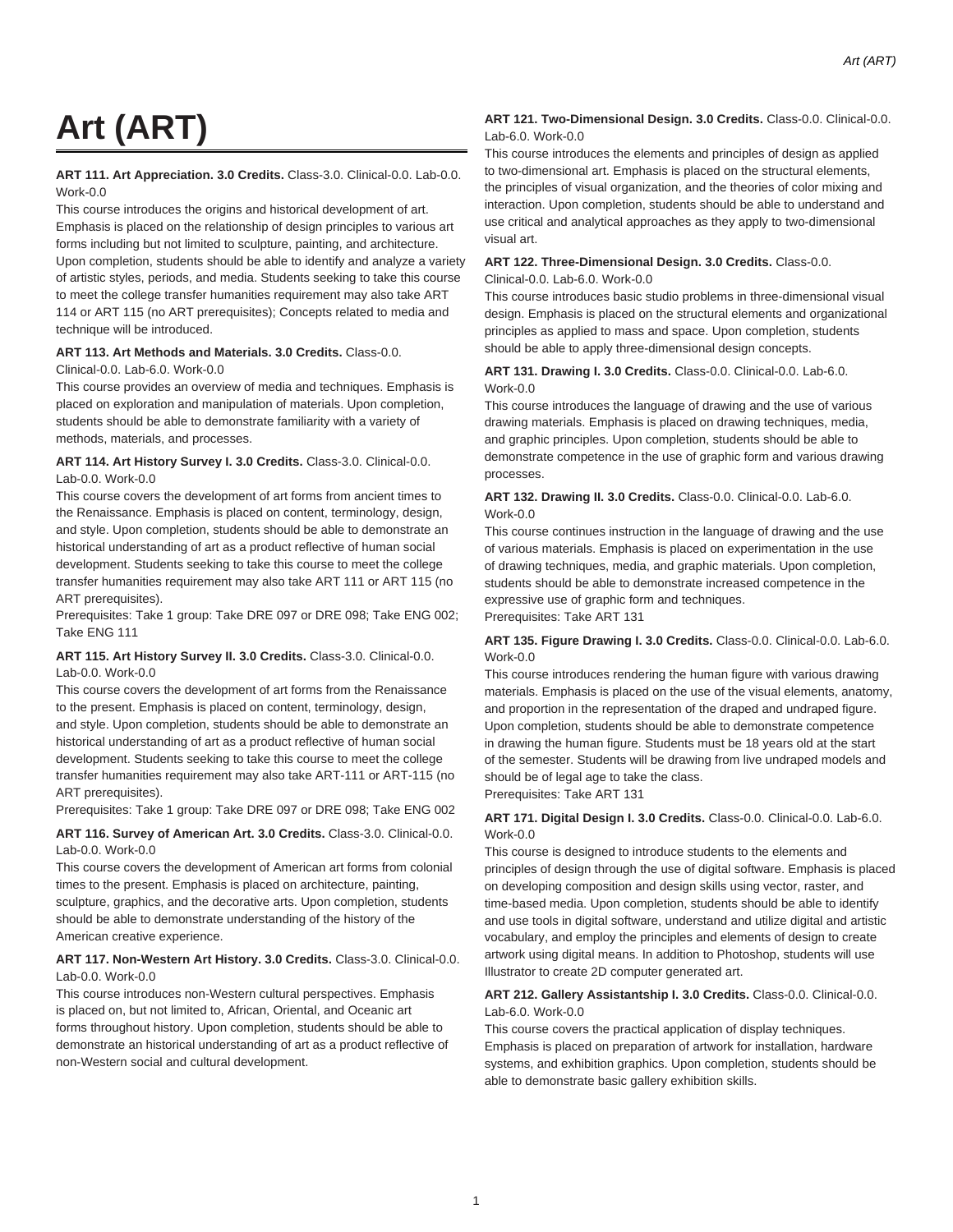# **Art (ART)**

#### **ART 111. Art Appreciation. 3.0 Credits.** Class-3.0. Clinical-0.0. Lab-0.0. Work-0.0

This course introduces the origins and historical development of art. Emphasis is placed on the relationship of design principles to various art forms including but not limited to sculpture, painting, and architecture. Upon completion, students should be able to identify and analyze a variety of artistic styles, periods, and media. Students seeking to take this course to meet the college transfer humanities requirement may also take ART 114 or ART 115 (no ART prerequisites); Concepts related to media and technique will be introduced.

#### **ART 113. Art Methods and Materials. 3.0 Credits.** Class-0.0.

#### Clinical-0.0. Lab-6.0. Work-0.0

This course provides an overview of media and techniques. Emphasis is placed on exploration and manipulation of materials. Upon completion, students should be able to demonstrate familiarity with a variety of methods, materials, and processes.

# **ART 114. Art History Survey I. 3.0 Credits.** Class-3.0. Clinical-0.0. Lab-0.0. Work-0.0

This course covers the development of art forms from ancient times to the Renaissance. Emphasis is placed on content, terminology, design, and style. Upon completion, students should be able to demonstrate an historical understanding of art as a product reflective of human social development. Students seeking to take this course to meet the college transfer humanities requirement may also take ART 111 or ART 115 (no ART prerequisites).

Prerequisites: Take 1 group: Take DRE 097 or DRE 098; Take ENG 002; Take ENG 111

## **ART 115. Art History Survey II. 3.0 Credits.** Class-3.0. Clinical-0.0. Lab-0.0. Work-0.0

This course covers the development of art forms from the Renaissance to the present. Emphasis is placed on content, terminology, design, and style. Upon completion, students should be able to demonstrate an historical understanding of art as a product reflective of human social development. Students seeking to take this course to meet the college transfer humanities requirement may also take ART-111 or ART-115 (no ART prerequisites).

Prerequisites: Take 1 group: Take DRE 097 or DRE 098; Take ENG 002

#### **ART 116. Survey of American Art. 3.0 Credits.** Class-3.0. Clinical-0.0. Lab-0.0. Work-0.0

This course covers the development of American art forms from colonial times to the present. Emphasis is placed on architecture, painting, sculpture, graphics, and the decorative arts. Upon completion, students should be able to demonstrate understanding of the history of the American creative experience.

#### **ART 117. Non-Western Art History. 3.0 Credits.** Class-3.0. Clinical-0.0. Lab-0.0. Work-0.0

This course introduces non-Western cultural perspectives. Emphasis is placed on, but not limited to, African, Oriental, and Oceanic art forms throughout history. Upon completion, students should be able to demonstrate an historical understanding of art as a product reflective of non-Western social and cultural development.

#### **ART 121. Two-Dimensional Design. 3.0 Credits.** Class-0.0. Clinical-0.0. Lab-6.0. Work-0.0

This course introduces the elements and principles of design as applied to two-dimensional art. Emphasis is placed on the structural elements, the principles of visual organization, and the theories of color mixing and interaction. Upon completion, students should be able to understand and use critical and analytical approaches as they apply to two-dimensional visual art.

# **ART 122. Three-Dimensional Design. 3.0 Credits.** Class-0.0.

## Clinical-0.0. Lab-6.0. Work-0.0

This course introduces basic studio problems in three-dimensional visual design. Emphasis is placed on the structural elements and organizational principles as applied to mass and space. Upon completion, students should be able to apply three-dimensional design concepts.

# **ART 131. Drawing I. 3.0 Credits.** Class-0.0. Clinical-0.0. Lab-6.0. Work-0.0

This course introduces the language of drawing and the use of various drawing materials. Emphasis is placed on drawing techniques, media, and graphic principles. Upon completion, students should be able to demonstrate competence in the use of graphic form and various drawing processes.

# **ART 132. Drawing II. 3.0 Credits.** Class-0.0. Clinical-0.0. Lab-6.0. Work-0.0

This course continues instruction in the language of drawing and the use of various materials. Emphasis is placed on experimentation in the use of drawing techniques, media, and graphic materials. Upon completion, students should be able to demonstrate increased competence in the expressive use of graphic form and techniques.

Prerequisites: Take ART 131

## **ART 135. Figure Drawing I. 3.0 Credits.** Class-0.0. Clinical-0.0. Lab-6.0. Work-0.0

This course introduces rendering the human figure with various drawing materials. Emphasis is placed on the use of the visual elements, anatomy, and proportion in the representation of the draped and undraped figure. Upon completion, students should be able to demonstrate competence in drawing the human figure. Students must be 18 years old at the start of the semester. Students will be drawing from live undraped models and should be of legal age to take the class. Prerequisites: Take ART 131

#### **ART 171. Digital Design I. 3.0 Credits.** Class-0.0. Clinical-0.0. Lab-6.0. Work-0.0

This course is designed to introduce students to the elements and principles of design through the use of digital software. Emphasis is placed on developing composition and design skills using vector, raster, and time-based media. Upon completion, students should be able to identify and use tools in digital software, understand and utilize digital and artistic vocabulary, and employ the principles and elements of design to create artwork using digital means. In addition to Photoshop, students will use Illustrator to create 2D computer generated art.

#### **ART 212. Gallery Assistantship I. 3.0 Credits.** Class-0.0. Clinical-0.0. Lab-6.0. Work-0.0

This course covers the practical application of display techniques. Emphasis is placed on preparation of artwork for installation, hardware systems, and exhibition graphics. Upon completion, students should be able to demonstrate basic gallery exhibition skills.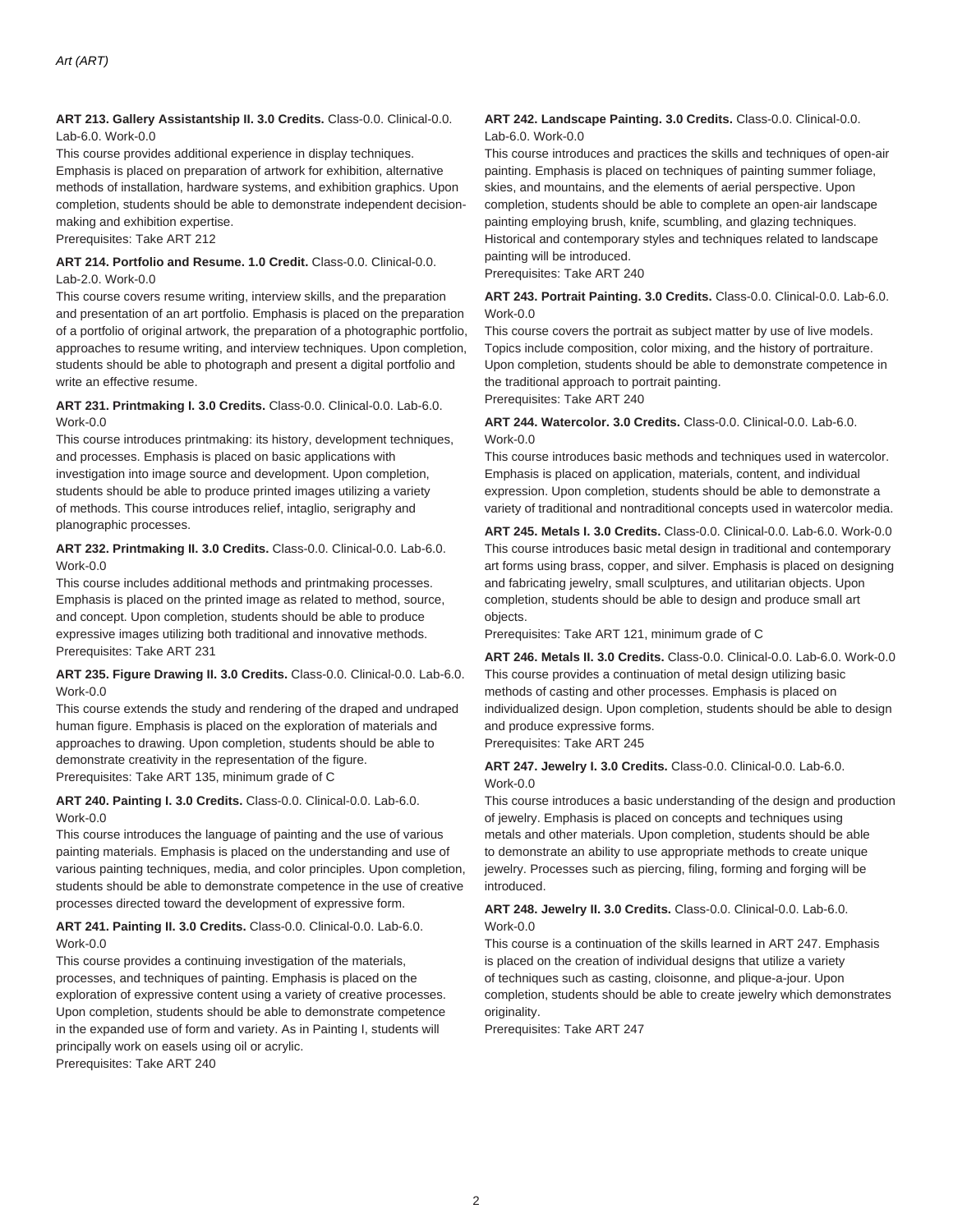#### **ART 213. Gallery Assistantship II. 3.0 Credits.** Class-0.0. Clinical-0.0. Lab-6.0. Work-0.0

This course provides additional experience in display techniques. Emphasis is placed on preparation of artwork for exhibition, alternative methods of installation, hardware systems, and exhibition graphics. Upon completion, students should be able to demonstrate independent decisionmaking and exhibition expertise.

Prerequisites: Take ART 212

## **ART 214. Portfolio and Resume. 1.0 Credit.** Class-0.0. Clinical-0.0. Lab-2.0. Work-0.0

This course covers resume writing, interview skills, and the preparation and presentation of an art portfolio. Emphasis is placed on the preparation of a portfolio of original artwork, the preparation of a photographic portfolio, approaches to resume writing, and interview techniques. Upon completion, students should be able to photograph and present a digital portfolio and write an effective resume.

#### **ART 231. Printmaking I. 3.0 Credits.** Class-0.0. Clinical-0.0. Lab-6.0. Work-0.0

This course introduces printmaking: its history, development techniques, and processes. Emphasis is placed on basic applications with investigation into image source and development. Upon completion, students should be able to produce printed images utilizing a variety of methods. This course introduces relief, intaglio, serigraphy and planographic processes.

# **ART 232. Printmaking II. 3.0 Credits.** Class-0.0. Clinical-0.0. Lab-6.0. Work-0.0

This course includes additional methods and printmaking processes. Emphasis is placed on the printed image as related to method, source, and concept. Upon completion, students should be able to produce expressive images utilizing both traditional and innovative methods. Prerequisites: Take ART 231

# **ART 235. Figure Drawing II. 3.0 Credits.** Class-0.0. Clinical-0.0. Lab-6.0. Work-0.0

This course extends the study and rendering of the draped and undraped human figure. Emphasis is placed on the exploration of materials and approaches to drawing. Upon completion, students should be able to demonstrate creativity in the representation of the figure. Prerequisites: Take ART 135, minimum grade of C

# **ART 240. Painting I. 3.0 Credits.** Class-0.0. Clinical-0.0. Lab-6.0. Work-0.0

This course introduces the language of painting and the use of various painting materials. Emphasis is placed on the understanding and use of various painting techniques, media, and color principles. Upon completion, students should be able to demonstrate competence in the use of creative processes directed toward the development of expressive form.

# **ART 241. Painting II. 3.0 Credits.** Class-0.0. Clinical-0.0. Lab-6.0. Work-0.0

This course provides a continuing investigation of the materials, processes, and techniques of painting. Emphasis is placed on the exploration of expressive content using a variety of creative processes. Upon completion, students should be able to demonstrate competence in the expanded use of form and variety. As in Painting I, students will principally work on easels using oil or acrylic. Prerequisites: Take ART 240

#### **ART 242. Landscape Painting. 3.0 Credits.** Class-0.0. Clinical-0.0. Lab-6.0. Work-0.0

This course introduces and practices the skills and techniques of open-air painting. Emphasis is placed on techniques of painting summer foliage, skies, and mountains, and the elements of aerial perspective. Upon completion, students should be able to complete an open-air landscape painting employing brush, knife, scumbling, and glazing techniques. Historical and contemporary styles and techniques related to landscape painting will be introduced.

Prerequisites: Take ART 240

# **ART 243. Portrait Painting. 3.0 Credits.** Class-0.0. Clinical-0.0. Lab-6.0. Work-0.0

This course covers the portrait as subject matter by use of live models. Topics include composition, color mixing, and the history of portraiture. Upon completion, students should be able to demonstrate competence in the traditional approach to portrait painting.

Prerequisites: Take ART 240

#### **ART 244. Watercolor. 3.0 Credits.** Class-0.0. Clinical-0.0. Lab-6.0. Work-0.0

This course introduces basic methods and techniques used in watercolor. Emphasis is placed on application, materials, content, and individual expression. Upon completion, students should be able to demonstrate a variety of traditional and nontraditional concepts used in watercolor media.

**ART 245. Metals I. 3.0 Credits.** Class-0.0. Clinical-0.0. Lab-6.0. Work-0.0 This course introduces basic metal design in traditional and contemporary art forms using brass, copper, and silver. Emphasis is placed on designing and fabricating jewelry, small sculptures, and utilitarian objects. Upon completion, students should be able to design and produce small art objects.

Prerequisites: Take ART 121, minimum grade of C

**ART 246. Metals II. 3.0 Credits.** Class-0.0. Clinical-0.0. Lab-6.0. Work-0.0 This course provides a continuation of metal design utilizing basic methods of casting and other processes. Emphasis is placed on individualized design. Upon completion, students should be able to design and produce expressive forms.

Prerequisites: Take ART 245

#### **ART 247. Jewelry I. 3.0 Credits.** Class-0.0. Clinical-0.0. Lab-6.0. Work-0.0

This course introduces a basic understanding of the design and production of jewelry. Emphasis is placed on concepts and techniques using metals and other materials. Upon completion, students should be able to demonstrate an ability to use appropriate methods to create unique jewelry. Processes such as piercing, filing, forming and forging will be introduced.

# **ART 248. Jewelry II. 3.0 Credits.** Class-0.0. Clinical-0.0. Lab-6.0. Work-0.0

This course is a continuation of the skills learned in ART 247. Emphasis is placed on the creation of individual designs that utilize a variety of techniques such as casting, cloisonne, and plique-a-jour. Upon completion, students should be able to create jewelry which demonstrates originality.

Prerequisites: Take ART 247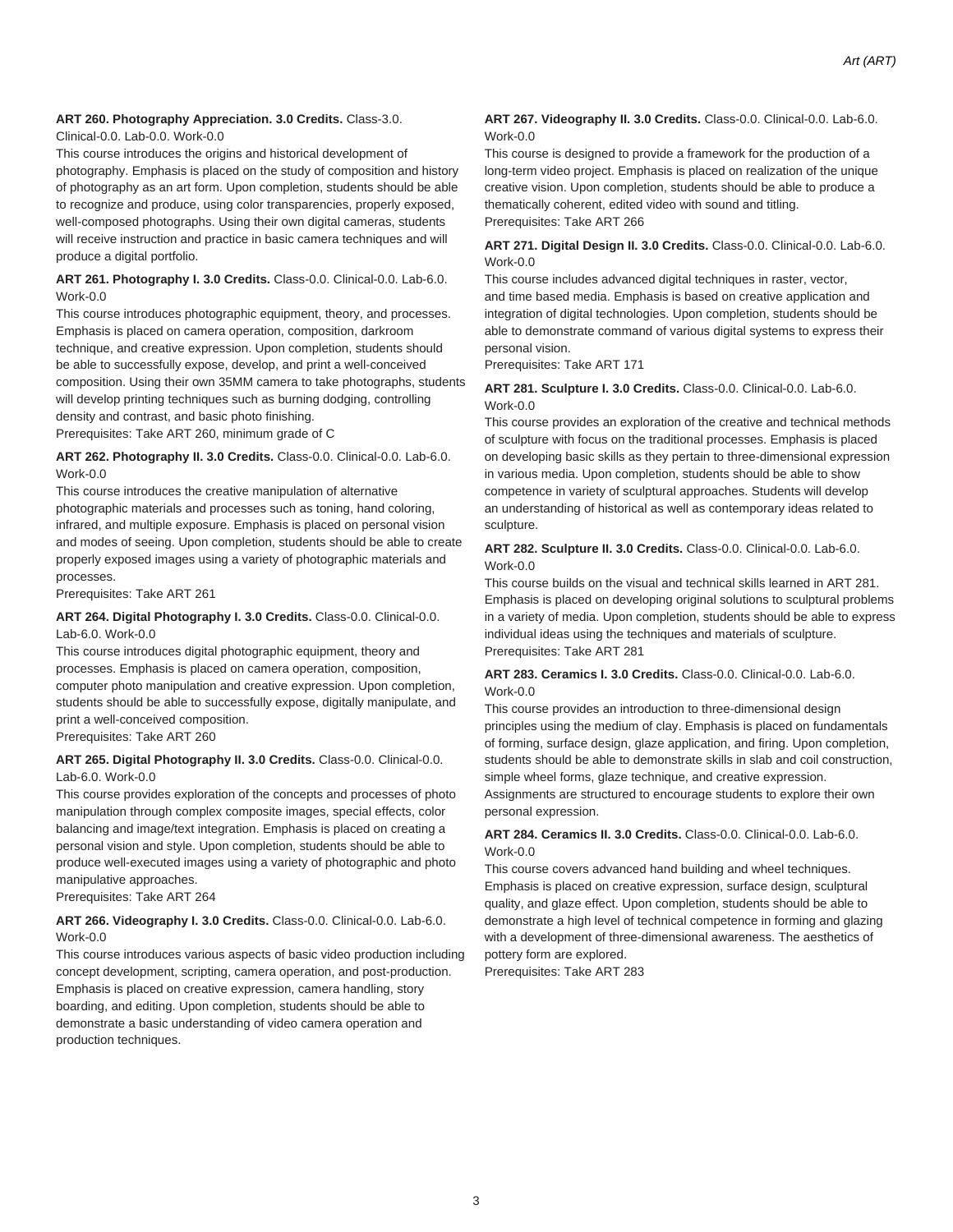# **ART 260. Photography Appreciation. 3.0 Credits.** Class-3.0.

Clinical-0.0. Lab-0.0. Work-0.0

This course introduces the origins and historical development of

photography. Emphasis is placed on the study of composition and history of photography as an art form. Upon completion, students should be able to recognize and produce, using color transparencies, properly exposed, well-composed photographs. Using their own digital cameras, students will receive instruction and practice in basic camera techniques and will produce a digital portfolio.

#### **ART 261. Photography I. 3.0 Credits.** Class-0.0. Clinical-0.0. Lab-6.0. Work-0.0

This course introduces photographic equipment, theory, and processes. Emphasis is placed on camera operation, composition, darkroom technique, and creative expression. Upon completion, students should be able to successfully expose, develop, and print a well-conceived composition. Using their own 35MM camera to take photographs, students will develop printing techniques such as burning dodging, controlling density and contrast, and basic photo finishing.

Prerequisites: Take ART 260, minimum grade of C

#### **ART 262. Photography II. 3.0 Credits.** Class-0.0. Clinical-0.0. Lab-6.0. Work-0.0

This course introduces the creative manipulation of alternative photographic materials and processes such as toning, hand coloring, infrared, and multiple exposure. Emphasis is placed on personal vision and modes of seeing. Upon completion, students should be able to create properly exposed images using a variety of photographic materials and processes.

Prerequisites: Take ART 261

#### **ART 264. Digital Photography I. 3.0 Credits.** Class-0.0. Clinical-0.0. Lab-6.0. Work-0.0

This course introduces digital photographic equipment, theory and processes. Emphasis is placed on camera operation, composition, computer photo manipulation and creative expression. Upon completion, students should be able to successfully expose, digitally manipulate, and print a well-conceived composition. Prerequisites: Take ART 260

#### **ART 265. Digital Photography II. 3.0 Credits.** Class-0.0. Clinical-0.0. Lab-6.0. Work-0.0

This course provides exploration of the concepts and processes of photo manipulation through complex composite images, special effects, color balancing and image/text integration. Emphasis is placed on creating a personal vision and style. Upon completion, students should be able to produce well-executed images using a variety of photographic and photo manipulative approaches.

Prerequisites: Take ART 264

#### **ART 266. Videography I. 3.0 Credits.** Class-0.0. Clinical-0.0. Lab-6.0. Work-0.0

This course introduces various aspects of basic video production including concept development, scripting, camera operation, and post-production. Emphasis is placed on creative expression, camera handling, story boarding, and editing. Upon completion, students should be able to demonstrate a basic understanding of video camera operation and production techniques.

#### **ART 267. Videography II. 3.0 Credits.** Class-0.0. Clinical-0.0. Lab-6.0. Work-0.0

This course is designed to provide a framework for the production of a long-term video project. Emphasis is placed on realization of the unique creative vision. Upon completion, students should be able to produce a thematically coherent, edited video with sound and titling. Prerequisites: Take ART 266

#### **ART 271. Digital Design II. 3.0 Credits.** Class-0.0. Clinical-0.0. Lab-6.0. Work-0.0

This course includes advanced digital techniques in raster, vector, and time based media. Emphasis is based on creative application and integration of digital technologies. Upon completion, students should be able to demonstrate command of various digital systems to express their personal vision.

Prerequisites: Take ART 171

# **ART 281. Sculpture I. 3.0 Credits.** Class-0.0. Clinical-0.0. Lab-6.0. Work-0.0

This course provides an exploration of the creative and technical methods of sculpture with focus on the traditional processes. Emphasis is placed on developing basic skills as they pertain to three-dimensional expression in various media. Upon completion, students should be able to show competence in variety of sculptural approaches. Students will develop an understanding of historical as well as contemporary ideas related to sculpture.

# **ART 282. Sculpture II. 3.0 Credits.** Class-0.0. Clinical-0.0. Lab-6.0. Work-0.0

This course builds on the visual and technical skills learned in ART 281. Emphasis is placed on developing original solutions to sculptural problems in a variety of media. Upon completion, students should be able to express individual ideas using the techniques and materials of sculpture. Prerequisites: Take ART 281

#### **ART 283. Ceramics I. 3.0 Credits.** Class-0.0. Clinical-0.0. Lab-6.0. Work-0.0

This course provides an introduction to three-dimensional design principles using the medium of clay. Emphasis is placed on fundamentals of forming, surface design, glaze application, and firing. Upon completion, students should be able to demonstrate skills in slab and coil construction, simple wheel forms, glaze technique, and creative expression. Assignments are structured to encourage students to explore their own personal expression.

# **ART 284. Ceramics II. 3.0 Credits.** Class-0.0. Clinical-0.0. Lab-6.0. Work-0.0

This course covers advanced hand building and wheel techniques. Emphasis is placed on creative expression, surface design, sculptural quality, and glaze effect. Upon completion, students should be able to demonstrate a high level of technical competence in forming and glazing with a development of three-dimensional awareness. The aesthetics of pottery form are explored.

Prerequisites: Take ART 283